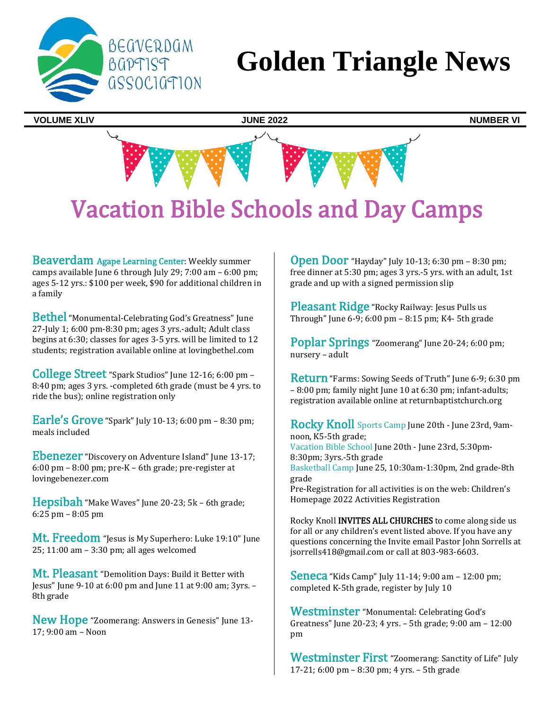

# **Golden Triangle News**

**VOLUME XLIV JUNE 2022 NUMBER VI**



# Vacation Bible Schools and Day Camps

Beaverdam Agape Learning Center: Weekly summer camps available June 6 through July 29; 7:00 am – 6:00 pm; ages 5-12 yrs.: \$100 per week, \$90 for additional children in a family

**Bethel** "Monumental-Celebrating God's Greatness" June 27-July 1; 6:00 pm-8:30 pm; ages 3 yrs.-adult; Adult class begins at 6:30; classes for ages 3-5 yrs. will be limited to 12 students; registration available online at lovingbethel.com

College Street "Spark Studios" June 12-16; 6:00 pm – 8:40 pm; ages 3 yrs. -completed 6th grade (must be 4 yrs. to ride the bus); online registration only

**Earle's Grove** "Spark" July 10-13; 6:00 pm – 8:30 pm; meals included

**Ebenezer** "Discovery on Adventure Island" June 13-17; 6:00 pm – 8:00 pm; pre-K – 6th grade; pre-register at lovingebenezer.com

Hepsibah "Make Waves" June 20-23; 5k – 6th grade; 6:25 pm – 8:05 pm

Mt. Freedom "Jesus is My Superhero: Luke 19:10" June 25; 11:00 am – 3:30 pm; all ages welcomed

Mt. Pleasant "Demolition Days: Build it Better with Jesus" June 9-10 at 6:00 pm and June 11 at 9:00 am; 3yrs. – 8th grade

New Hope "Zoomerang: Answers in Genesis" June 13- 17; 9:00 am – Noon

Open Door "Hayday" July 10-13; 6:30 pm – 8:30 pm; free dinner at 5:30 pm; ages 3 yrs.-5 yrs. with an adult, 1st grade and up with a signed permission slip

Pleasant Ridge "Rocky Railway: Jesus Pulls us Through" June  $6-9$ ;  $6:00 \text{ pm} - 8:15 \text{ pm}$ ; K4-5th grade

Poplar Springs "Zoomerang" June 20-24; 6:00 pm; nursery – adult

Return "Farms: Sowing Seeds of Truth" June 6-9; 6:30 pm – 8:00 pm; family night June 10 at 6:30 pm; infant-adults; registration available online at returnbaptistchurch.org

Rocky Knoll Sports Camp June 20th - June 23rd, 9amnoon, K5-5th grade; Vacation Bible School June 20th - June 23rd, 5:30pm-8:30pm; 3yrs.-5th grade Basketball Camp June 25, 10:30am-1:30pm, 2nd grade-8th grade Pre-Registration for all activities is on the web: Children's Homepage 2022 Activities Registration

Rocky Knoll INVITES ALL CHURCHES to come along side us for all or any children's event listed above. If you have any questions concerning the Invite email Pastor John Sorrells at jsorrells418@gmail.com or call at 803-983-6603.

**Seneca** "Kids Camp" July 11-14; 9:00 am - 12:00 pm; completed K-5th grade, register by July 10

**Westminster** "Monumental: Celebrating God's Greatness" June 20-23; 4 yrs. – 5th grade; 9:00 am – 12:00 pm

Westminster First "Zoomerang: Sanctity of Life" July 17-21; 6:00 pm – 8:30 pm; 4 yrs. – 5th grade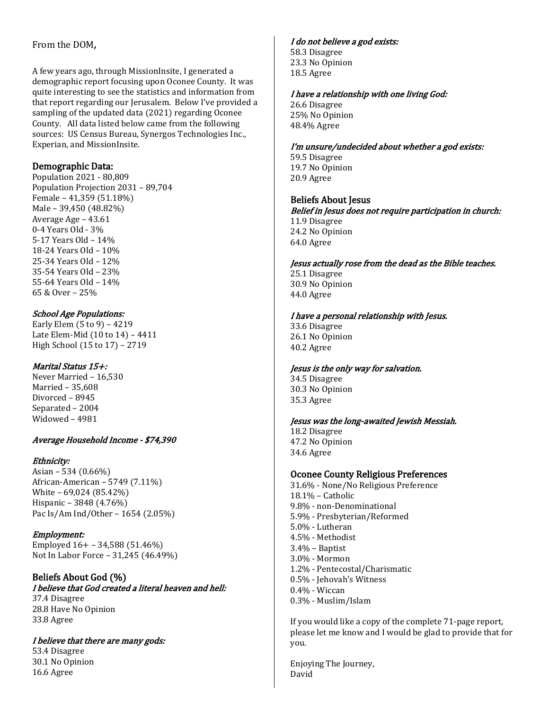## From the DOM,

A few years ago, through MissionInsite, I generated a demographic report focusing upon Oconee County. It was quite interesting to see the statistics and information from that report regarding our Jerusalem. Below I've provided a sampling of the updated data (2021) regarding Oconee County. All data listed below came from the following sources: US Census Bureau, Synergos Technologies Inc., Experian, and MissionInsite.

## Demographic Data:

Population 2021 - 80,809 Population Projection 2031 – 89,704 Female – 41,359 (51.18%) Male – 39,450 (48.82%) Average Age – 43.61 0-4 Years Old - 3% 5-17 Years Old – 14% 18-24 Years Old – 10% 25-34 Years Old – 12% 35-54 Years Old – 23% 55-64 Years Old – 14% 65 & Over – 25%

### School Age Populations:

Early Elem (5 to 9) – 4219 Late Elem-Mid (10 to 14) – 4411 High School (15 to 17) – 2719

#### Marital Status 15+:

Never Married – 16,530 Married – 35,608 Divorced – 8945 Separated – 2004 Widowed – 4981

#### Average Household Income - \$74,390

#### Ethnicity:

Asian – 534 (0.66%) African-American – 5749 (7.11%) White – 69,024 (85.42%) Hispanic – 3848 (4.76%) Pac Is/Am Ind/Other – 1654 (2.05%)

#### Employment:

Employed 16+ – 34,588 (51.46%) Not In Labor Force – 31,245 (46.49%)

# Beliefs About God (%)

I believe that God created a literal heaven and hell: 37.4 Disagree

28.8 Have No Opinion 33.8 Agree

## I believe that there are many gods:

53.4 Disagree 30.1 No Opinion 16.6 Agree

#### I do not believe a god exists:

58.3 Disagree 23.3 No Opinion 18.5 Agree

#### I have a relationship with one living God:

26.6 Disagree 25% No Opinion 48.4% Agree

#### I'm unsure/undecided about whether a god exists:

59.5 Disagree 19.7 No Opinion 20.9 Agree

#### Beliefs About Jesus

Belief in Jesus does not require participation in church: 11.9 Disagree 24.2 No Opinion 64.0 Agree

#### Jesus actually rose from the dead as the Bible teaches.

25.1 Disagree 30.9 No Opinion 44.0 Agree

#### I have a personal relationship with Jesus.

33.6 Disagree 26.1 No Opinion 40.2 Agree

#### Jesus is the only way for salvation.

34.5 Disagree 30.3 No Opinion 35.3 Agree

#### Jesus was the long-awaited Jewish Messiah.

18.2 Disagree 47.2 No Opinion 34.6 Agree

## Oconee County Religious Preferences

31.6% - None/No Religious Preference 18.1% – Catholic 9.8% - non-Denominational 5.9% - Presbyterian/Reformed 5.0% - Lutheran 4.5% - Methodist 3.4% – Baptist 3.0% - Mormon 1.2% - Pentecostal/Charismatic 0.5% - Jehovah's Witness 0.4% - Wiccan 0.3% - Muslim/Islam

If you would like a copy of the complete 71-page report, please let me know and I would be glad to provide that for you.

Enjoying The Journey, David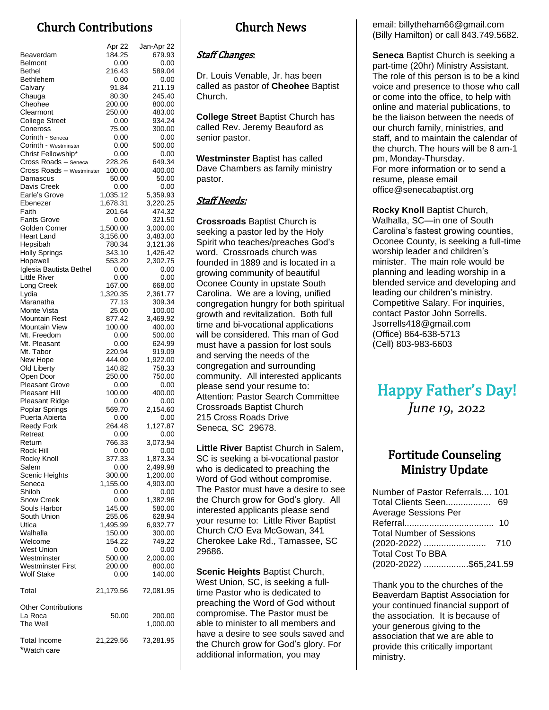# Church Contributions

|                                                | Apr 22             | Jan-Apr 22         |
|------------------------------------------------|--------------------|--------------------|
| Beaverdam                                      | 184.25             | 679.93             |
| <b>Belmont</b><br>Bethel                       | 0.00<br>216.43     | 0.00<br>589.04     |
| Bethlehem                                      | 0.00               | 0.00               |
| Calvary                                        | 91.84              | 211.19             |
| Chauga                                         | 80.30              | 245.40             |
| Cheohee                                        | 200.00             | 800.00             |
| Clearmont                                      | 250.00             | 483.00             |
| <b>College Street</b>                          | 0.00               | 934.24             |
| Coneross                                       | 75.00              | 300.00             |
| Corinth - Seneca<br>Corinth - Westminster      | 0.00<br>0.00       | 0.00<br>500.00     |
| Christ Fellowship*                             | 0.00               | 0.00               |
| Cross Roads - Seneca                           | 228.26             | 649.34             |
| Cross Roads - Westminster                      | 100.00             | 400.00             |
| Damascus                                       | 50.00              | 50.00              |
| Davis Creek                                    | 0.00               | 0.00               |
| Earle's Grove                                  | 1,035.12           | 5,359.93           |
| Ebenezer<br>Faith                              | 1,678.31<br>201.64 | 3,220.25<br>474.32 |
| <b>Fants Grove</b>                             | 0.00               | 321.50             |
| Golden Corner                                  | 1,500.00           | 3,000.00           |
| Heart Land                                     | 3,156.00           | 3,483.00           |
| Hepsibah                                       | 780.34             | 3,121.36           |
| <b>Holly Springs</b>                           | 343.10             | 1,426.42           |
| Hopewell                                       | 553.20<br>0.00     | 2,302.75           |
| Iglesia Bautista Bethel<br><b>Little River</b> | 0.00               | 0.00<br>0.00       |
| Long Creek                                     | 167.00             | 668.00             |
| Lydia                                          | 1,320.35           | 2,361.77           |
| Maranatha                                      | 77.13              | 309.34             |
| Monte Vista                                    | 25.00              | 100.00             |
| Mountain Rest                                  | 877.42             | 3,469.92           |
| Mountain View<br>Mt. Freedom                   | 100.00<br>0.00     | 400.00<br>500.00   |
| Mt. Pleasant                                   | 0.00               | 624.99             |
| Mt. Tabor                                      | 220.94             | 919.09             |
| New Hope                                       | 444.00             | 1,922.00           |
| Old Liberty                                    | 140.82             | 758.33             |
| Open Door                                      | 250.00             | 750.00             |
| <b>Pleasant Grove</b><br>Pleasant Hill         | 0.00<br>100.00     | 0.00<br>400.00     |
| Pleasant Ridge                                 | 0.00               | 0.00               |
| Poplar Springs                                 | 569.70             | 2,154.60           |
| Puerta Abierta                                 | 0.00               | 0.00               |
| <b>Reedy Fork</b>                              | 264.48             | 1,127.87           |
| Retreat                                        | 0.00               | 0.00               |
| Return<br>Rock Hill                            | 766.33<br>0.00     | 3,073.94<br>0.00   |
| Rocky Knoll                                    | 377.33             | 1,873.34           |
| Salem                                          | 0.00               | 2,499.98           |
| Scenic Heights                                 | 300.00             | 1,200.00           |
| Seneca                                         | 1,155.00           | 4,903.00           |
| Shiloh                                         | 0.00               | 0.00               |
| Snow Creek<br>Souls Harbor                     | 0.00               | 1,382.96           |
| South Union                                    | 145.00<br>255.06   | 580.00<br>628.94   |
| Utica                                          | 1,495.99           | 6,932.77           |
| Walhalla                                       | 150.00             | 300.00             |
| Welcome                                        | 154.22             | 749.22             |
| West Union                                     | 0.00               | 0.00               |
| Westminster                                    | 500.00             | 2,000.00           |
| Westminster First<br>Wolf Stake                | 200.00<br>0.00     | 800.00<br>140.00   |
| Total                                          | 21,179.56          | 72,081.95          |
| <b>Other Contributions</b>                     |                    |                    |
| La Roca                                        | 50.00              | 200.00             |
| The Well                                       |                    | 1,000.00           |
| Total Income                                   | 21,229.56          | 73,281.95          |
| *Watch care                                    |                    |                    |

# Church News

## Staff Changes*:*

Dr. Louis Venable, Jr. has been called as pastor of **Cheohee** Baptist Church.

**College Street** Baptist Church has called Rev. Jeremy Beauford as senior pastor.

**Westminster** Baptist has called Dave Chambers as family ministry pastor.

## Staff Needs:

**Crossroads** Baptist Church is seeking a pastor led by the Holy Spirit who teaches/preaches God's word. Crossroads church was founded in 1889 and is located in a growing community of beautiful Oconee County in upstate South Carolina. We are a loving, unified congregation hungry for both spiritual growth and revitalization. Both full time and bi-vocational applications will be considered. This man of God must have a passion for lost souls and serving the needs of the congregation and surrounding community. All interested applicants please send your resume to: Attention: Pastor Search Committee Crossroads Baptist Church 215 Cross Roads Drive Seneca, SC 29678.

**Little River** Baptist Church in Salem, SC is seeking a bi-vocational pastor who is dedicated to preaching the Word of God without compromise. The Pastor must have a desire to see the Church grow for God's glory. All interested applicants please send your resume to: Little River Baptist Church C/O Eva McGowan, 341 Cherokee Lake Rd., Tamassee, SC 29686.

**Scenic Heights** Baptist Church, West Union, SC, is seeking a fulltime Pastor who is dedicated to preaching the Word of God without compromise. The Pastor must be able to minister to all members and have a desire to see souls saved and the Church grow for God's glory. For additional information, you may

email: billytheham66@gmail.com (Billy Hamilton) or call 843.749.5682.

**Seneca** Baptist Church is seeking a part-time (20hr) Ministry Assistant. The role of this person is to be a kind voice and presence to those who call or come into the office, to help with online and material publications, to be the liaison between the needs of our church family, ministries, and staff, and to maintain the calendar of the church. The hours will be 8 am-1 pm, Monday-Thursday. For more information or to send a resume, please email office@senecabaptist.org

**Rocky Knoll** Baptist Church, Walhalla, SC—in one of South Carolina's fastest growing counties, Oconee County, is seeking a full-time worship leader and children's minister. The main role would be planning and leading worship in a blended service and developing and leading our children's ministry. Competitive Salary. For inquiries, contact Pastor John Sorrells. Jsorrells418@gmail.com (Office) 864-638-5713 (Cell) 803-983-6603

Happy Father's Day! *June 19, 2022*

# Fortitude Counseling Ministry Update

| Number of Pastor Referrals 101  |    |
|---------------------------------|----|
| Total Clients Seen              | 69 |
| <b>Average Sessions Per</b>     |    |
|                                 | 10 |
| <b>Total Number of Sessions</b> |    |
|                                 |    |
| <b>Total Cost To BBA</b>        |    |
| (2020-2022) \$65,241.59         |    |

Thank you to the churches of the Beaverdam Baptist Association for your continued financial support of the association. It is because of your generous giving to the association that we are able to provide this critically important ministry.